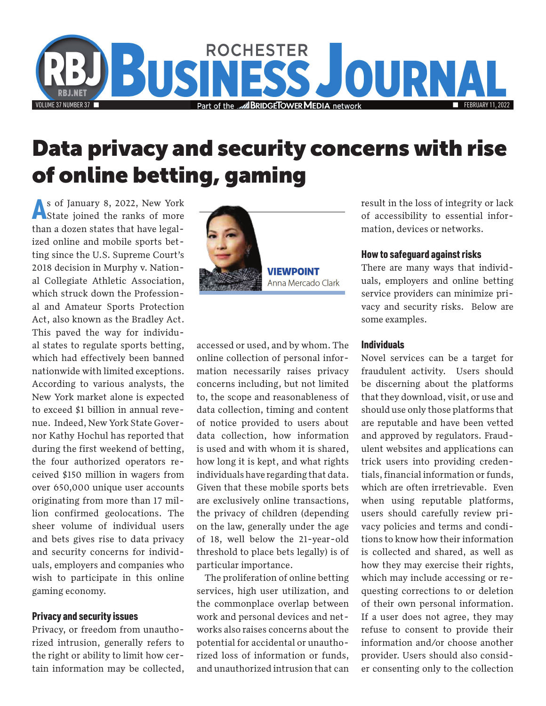

## **Data privacy and security concerns with rise of online betting, gaming**

As of January 8, 2022, New York State joined the ranks of more than a dozen states that have legalized online and mobile sports betting since the U.S. Supreme Court's 2018 decision in Murphy v. National Collegiate Athletic Association, which struck down the Professional and Amateur Sports Protection Act, also known as the Bradley Act. This paved the way for individual states to regulate sports betting, which had effectively been banned nationwide with limited exceptions. According to various analysts, the New York market alone is expected to exceed \$1 billion in annual revenue. Indeed, New York State Governor Kathy Hochul has reported that during the first weekend of betting, the four authorized operators received \$150 million in wagers from over 650,000 unique user accounts originating from more than 17 million confirmed geolocations. The sheer volume of individual users and bets gives rise to data privacy and security concerns for individuals, employers and companies who wish to participate in this online gaming economy.

#### Privacy and security issues

Privacy, or freedom from unauthorized intrusion, generally refers to the right or ability to limit how certain information may be collected,



**VIEWPOINT** Anna Mercado Clark

accessed or used, and by whom. The online collection of personal information necessarily raises privacy concerns including, but not limited to, the scope and reasonableness of data collection, timing and content of notice provided to users about data collection, how information is used and with whom it is shared, how long it is kept, and what rights individuals have regarding that data. Given that these mobile sports bets are exclusively online transactions, the privacy of children (depending on the law, generally under the age of 18, well below the 21-year-old threshold to place bets legally) is of particular importance.

The proliferation of online betting services, high user utilization, and the commonplace overlap between work and personal devices and networks also raises concerns about the potential for accidental or unauthorized loss of information or funds, and unauthorized intrusion that can result in the loss of integrity or lack of accessibility to essential information, devices or networks.

#### How to safeguard against risks

There are many ways that individuals, employers and online betting service providers can minimize privacy and security risks. Below are some examples.

#### Individuals

Novel services can be a target for fraudulent activity. Users should be discerning about the platforms that they download, visit, or use and should use only those platforms that are reputable and have been vetted and approved by regulators. Fraudulent websites and applications can trick users into providing credentials, financial information or funds, which are often irretrievable. Even when using reputable platforms, users should carefully review privacy policies and terms and conditions to know how their information is collected and shared, as well as how they may exercise their rights, which may include accessing or requesting corrections to or deletion of their own personal information. If a user does not agree, they may refuse to consent to provide their information and/or choose another provider. Users should also consider consenting only to the collection